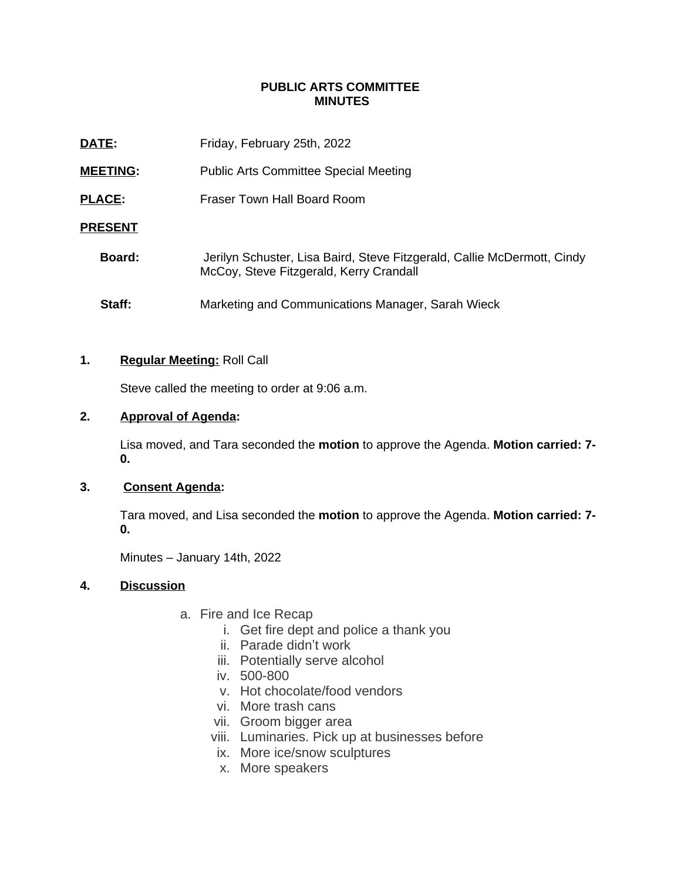## **PUBLIC ARTS COMMITTEE MINUTES**

| DATE:           | Friday, February 25th, 2022                                                                                        |
|-----------------|--------------------------------------------------------------------------------------------------------------------|
| <b>MEETING:</b> | <b>Public Arts Committee Special Meeting</b>                                                                       |
| <b>PLACE:</b>   | Fraser Town Hall Board Room                                                                                        |
| <b>PRESENT</b>  |                                                                                                                    |
| Board:          | Jerilyn Schuster, Lisa Baird, Steve Fitzgerald, Callie McDermott, Cindy<br>McCoy, Steve Fitzgerald, Kerry Crandall |
| Staff:          | Marketing and Communications Manager, Sarah Wieck                                                                  |

## **1. Regular Meeting:** Roll Call

Steve called the meeting to order at 9:06 a.m.

# **2. Approval of Agenda:**

Lisa moved, and Tara seconded the **motion** to approve the Agenda. **Motion carried: 7- 0.**

## **3. Consent Agenda:**

Tara moved, and Lisa seconded the **motion** to approve the Agenda. **Motion carried: 7- 0.**

Minutes – January 14th, 2022

## **4. Discussion**

- a. Fire and Ice Recap
	- i. Get fire dept and police a thank you
	- ii. Parade didn't work
	- iii. Potentially serve alcohol
	- iv. 500-800
	- v. Hot chocolate/food vendors
	- vi. More trash cans
	- vii. Groom bigger area
	- viii. Luminaries. Pick up at businesses before
	- ix. More ice/snow sculptures
	- x. More speakers